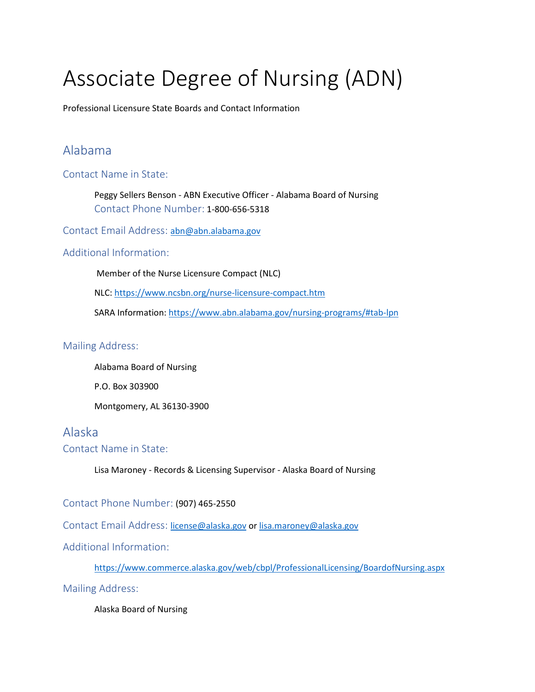# Associate Degree of Nursing (ADN)

Professional Licensure State Boards and Contact Information

### Alabama

Contact Name in State:

Peggy Sellers Benson - ABN Executive Officer - Alabama Board of Nursing Contact Phone Number: 1-800-656-5318

Contact Email Address: [abn@abn.alabama.gov](https://dchealth.dc.gov/)

#### Additional Information:

Member of the Nurse Licensure Compact (NLC)

NLC:<https://www.ncsbn.org/nurse-licensure-compact.htm>

SARA Information: [https://www.abn.alabama.gov/nursing-programs/#tab-lpn](mailto:nursebd@dhp.virginia.gov#tab-lpn)

#### Mailing Address:

Alabama Board of Nursing P.O. Box 303900 Montgomery, AL 36130-3900

### Alaska

Contact Name in State:

Lisa Maroney - Records & Licensing Supervisor - Alaska Board of Nursing

Contact Phone Number: (907) 465-2550

Contact Email Address:[license@alaska.gov](https://nevadanursingboard.org/wp-content/uploads/2020/07/RNLPN-Endorsement-Instructions.pdf) o[r lisa.maroney@alaska.gov](https://www.ncsbn.org/nurse-licensure-compact.htm)

Additional Information:

[https://www.commerce.alaska.gov/web/cbpl/ProfessionalLicensing/BoardofNursing.aspx](https://mn.gov/boards/nursing/licensure/apply-for-a-license/lic-by-end-process.jsp)

Mailing Address:

Alaska Board of Nursing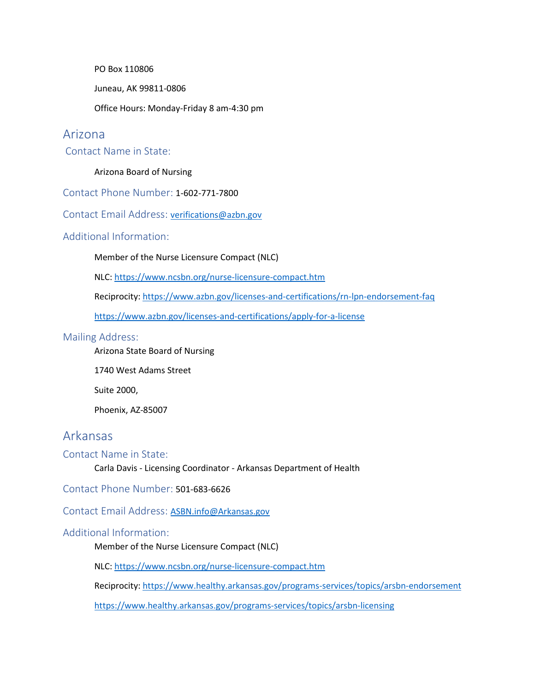PO Box 110806

Juneau, AK 99811-0806

Office Hours: Monday-Friday 8 am-4:30 pm

#### Arizona

Contact Name in State:

#### Arizona Board of Nursing

Contact Phone Number: 1-602-771-7800

Contact Email Address: [verifications@azbn.gov](mailto:verifications@azbn.gov)

#### Additional Information:

Member of the Nurse Licensure Compact (NLC)

NLC:<https://www.ncsbn.org/nurse-licensure-compact.htm>

Reciprocity: [https://www.azbn.gov/licenses-and-certifications/rn-lpn-endorsement-faq](https://www.healthy.arkansas.gov/programs-services/topics/arsbn-endorsement)

[https://www.azbn.gov/licenses-and-certifications/apply-for-a-license](https://www.dos.pa.gov/ProfessionalLicensing/BoardsCommissions/Nursing/Pages/Nursing-Guide.aspx)

#### Mailing Address:

Arizona State Board of Nursing

1740 West Adams Street

Suite 2000,

Phoenix, AZ-85007

### Arkansas

#### Contact Name in State:

Carla Davis - Licensing Coordinator - Arkansas Department of Health

Contact Phone Number: 501-683-6626

Contact Email Address: [ASBN.info@Arkansas.gov](http://www.dhp.virginia.gov/Boards/Nursing/ApplicantResources/ApplyforLicense/RegisteredNurse/)

#### Additional Information:

Member of the Nurse Licensure Compact (NLC)

NLC: [https://www.ncsbn.org/nurse-licensure-compact.htm](https://ibn.idaho.gov/licensure/licensure-application-types/)

Reciprocity: [https://www.healthy.arkansas.gov/programs-services/topics/arsbn-endorsement](https://www.oplc.nh.gov/nursing/licensure.htm)

[https://www.healthy.arkansas.gov/programs-services/topics/arsbn-licensing](https://www.ncsbn.org/nurse-licensure-compact.htm)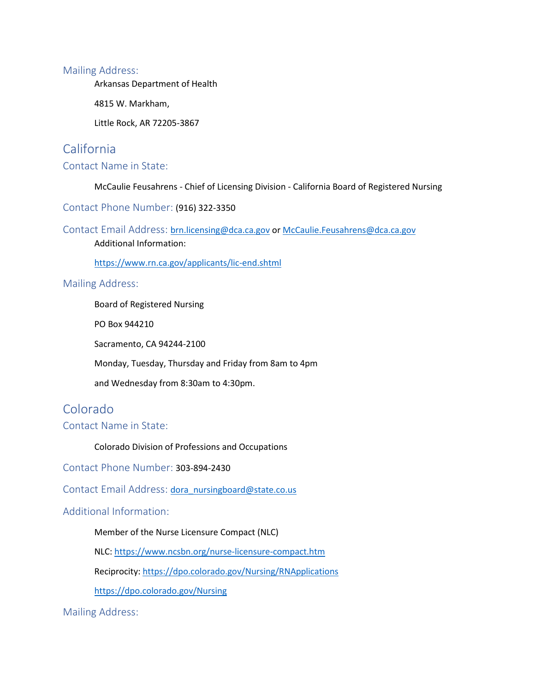Arkansas Department of Health

4815 W. Markham,

Little Rock, AR 72205-3867

### California

#### Contact Name in State:

McCaulie Feusahrens - Chief of Licensing Division - California Board of Registered Nursing

Contact Phone Number: (916) 322-3350

ContactEmail Address: [brn.licensing@dca.ca.gov](mailto:brn.licensing@dca.ca.gov) o[r McCaulie.Feusahrens@dca.ca.gov](mailto:McCaulie.Feusahrens@dca.ca.gov)

[A](mailto:McCaulie.Feusahrens@dca.ca.gov)dditional Information:

[https://www.rn.ca.gov/applicants/lic-end.shtml](https://www.ncsbn.org/nurse-licensure-compact.htm)

#### Mailing Address:

Board of Registered Nursing

PO Box 944210

Sacramento, CA 94244-2100

Monday, Tuesday, Thursday and Friday from 8am to 4pm

and Wednesday from 8:30am to 4:30pm.

### Colorado

Contact Name in State:

Colorado Division of Professions and Occupations

Contact Phone Number: 303-894-2430

Contact Email Address: [dora\\_nursingboard@state.co.us](https://dopl.utah.gov/nurse/index.html)

#### Additional Information:

Member of the Nurse Licensure Compact (NLC)

NLC:<https://www.ncsbn.org/nurse-licensure-compact.htm>

Reciprocity: [https://dpo.colorado.gov/Nursing/RNApplications](https://cca.hawaii.gov/pvl/files/2019/01/out-of-state-nursing-programs-1812.pdf)

[https://dpo.colorado.gov/Nursing](https://www.ncsbn.org/nurse-licensure-compact.htm)

Mailing Address: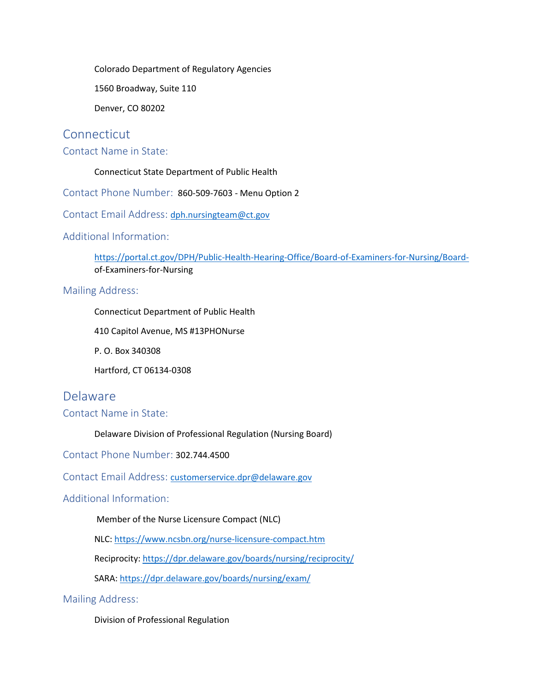Colorado Department of Regulatory Agencies

1560 Broadway, Suite 110

Denver, CO 80202

#### **Connecticut**

Contact Name in State:

Connecticut State Department of Public Health

Contact Phone Number: 860-509-7603 - Menu Option 2

Contact Email Address: [dph.nursingteam@ct.gov](https://www.ncsbn.org/nurse-licensure-compact.htm)

Additional Information:

[https://portal.ct.gov/DPH/Public-Health-Hearing-Office/Board-of-Examiners-for-Nursing/Board](https://dpr.delaware.gov/boards/nursing/exam/)[o](https://dpr.delaware.gov/boards/nursing/exam/)f-Examiners-for-Nursing

#### Mailing Address:

Connecticut Department of Public Health

410 Capitol Avenue, MS #13PHONurse

P. O. Box 340308

Hartford, CT 06134-0308

Delaware

Contact Name in State:

Delaware Division of Professional Regulation (Nursing Board)

Contact Phone Number: 302.744.4500

Contact Email Address: [customerservice.dpr@delaware.gov](https://www.oregon.gov/osbn/Pages/index.aspx)

Additional Information:

Member of the Nurse Licensure Compact (NLC)

NLC: [https://www.ncsbn.org/nurse-licensure-compact.htm](mailto:michelle.lavoie@vermont.gov)

Reciprocity: [https://dpr.delaware.gov/boards/nursing/reciprocity/](mailto:sglass@msbn.ms.gov)

SARA: [https://dpr.delaware.gov/boards/nursing/exam/](https://www.ncsbn.org/nurse-licensure-compact.htm)

Mailing Address:

Division of Professional Regulation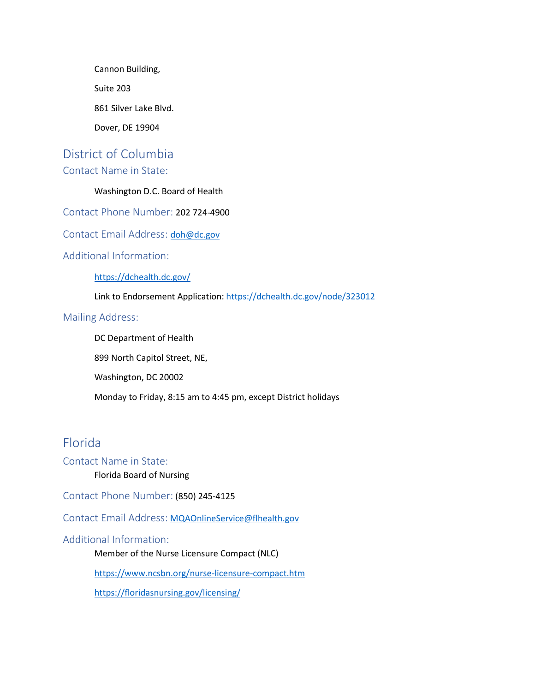Cannon Building, Suite 203 861 Silver Lake Blvd. Dover, DE 19904

## District of Columbia

### Contact Name in State:

#### Washington D.C. Board of Health

Contact Phone Number: 202 724-4900

Contact Email Address: [doh@dc.gov](mailto:tn.health@tn.gov)

#### Additional Information:

[https://dchealth.dc.gov/](mailto:nursing@sos.ga.gov)

Link to Endorsement Application:<https://dchealth.dc.gov/node/323012>

#### Mailing Address:

DC Department of Health

899 North Capitol Street, NE,

Washington, DC 20002

Monday to Friday, 8:15 am to 4:45 pm, except District holidays

### Florida

#### Contact Name in State:

Florida Board of Nursing

Contact Phone Number: (850) 245-4125

Contact Email Address: [MQAOnlineService@flhealth.gov](mailto:lsbn@lsbn.state.la.us)

#### Additional Information:

Member of the Nurse Licensure Compact (NLC)

<https://www.ncsbn.org/nurse-licensure-compact.htm>

[https://floridasnursing.gov/licensing/](mailto:lisa.maroney@alaska.gov)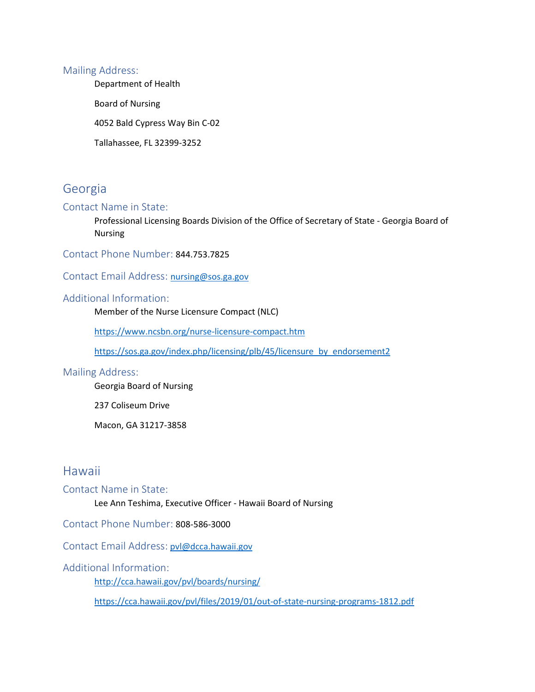Department of Health

Board of Nursing

4052 Bald Cypress Way Bin C-02

Tallahassee, FL 32399-3252

### Georgia

#### Contact Name in State:

Professional Licensing Boards Division of the Office of Secretary of State - Georgia Board of Nursing

Contact Phone Number: 844.753.7825

ContactEmail Address: [nursing@sos.ga.gov](https://www.azbn.gov/licenses-and-certifications/rn-lpn-endorsement-faq)

#### Additional Information:

Member of the Nurse Licensure Compact (NLC)

[https://www.ncsbn.org/nurse-licensure-compact.htm](mailto:pla2@pla.in.gov)

[https://sos.ga.gov/index.php/licensing/plb/45/licensure\\_by\\_endorsement2](https://sos.ga.gov/index.php/licensing/plb/45/licensure_by_endorsement2)

#### Mailing Address:

Georgia Board of Nursing

237 Coliseum Drive

Macon, GA 31217-3858

### Hawaii

Contact Name in State:

Lee Ann Teshima, Executive Officer - Hawaii Board of Nursing

Contact Phone Number: 808-586-3000

Contact Email Address: [pvl@dcca.hawaii.gov](mailto:pvl@dcca.hawaii.gov)

#### Additional Information:

[http://cca.hawaii.gov/pvl/boards/nursing/](mailto:raeann.byrd@ks.gov)

[https://cca.hawaii.gov/pvl/files/2019/01/out-of-state-nursing-programs-1812.pdf](mailto:endorse@iowa.gov)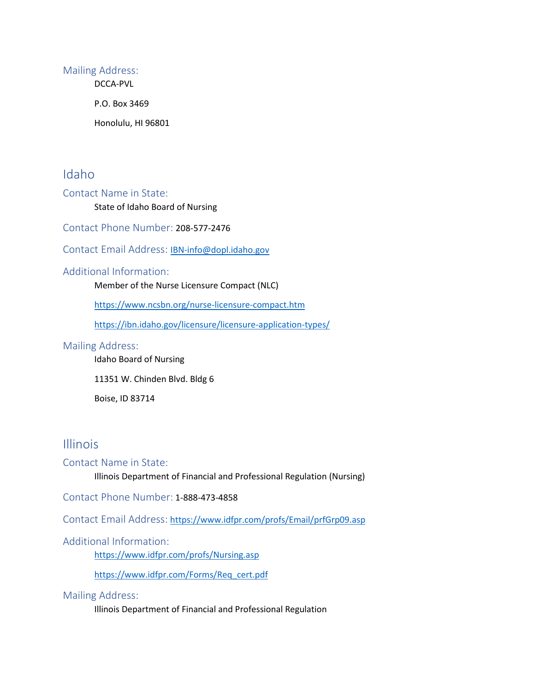DCCA-PVL

P.O. Box 3469

Honolulu, HI 96801

### Idaho

Contact Name in State:

State of Idaho Board of Nursing

Contact Phone Number: 208-577-2476

Contact Email Address: [IBN-info@dopl.idaho.gov](https://floridasnursing.gov/licensing/)

#### Additional Information:

Member of the Nurse Licensure Compact (NLC)

<https://www.ncsbn.org/nurse-licensure-compact.htm>

[https://ibn.idaho.gov/licensure/licensure-application-types/](https://www.maine.gov/boardofnursing/licensing/endorsement.html)

#### Mailing Address:

Idaho Board of Nursing 11351 W. Chinden Blvd. Bldg 6

Boise, ID 83714

### Illinois

#### Contact Name in State:

Illinois Department of Financial and Professional Regulation (Nursing)

Contact Phone Number: 1-888-473-4858

Contact Email Address: [https://www.idfpr.com/profs/Email/prfGrp09.asp](https://www.ncsbn.org/nurse-licensure-compact.htm)

#### Additional Information:

<https://www.idfpr.com/profs/Nursing.asp>

[https://www.idfpr.com/Forms/Req\\_cert.pdf](https://www.idfpr.com/Forms/Req_cert.pdf)

#### Mailing Address:

Illinois Department of Financial and Professional Regulation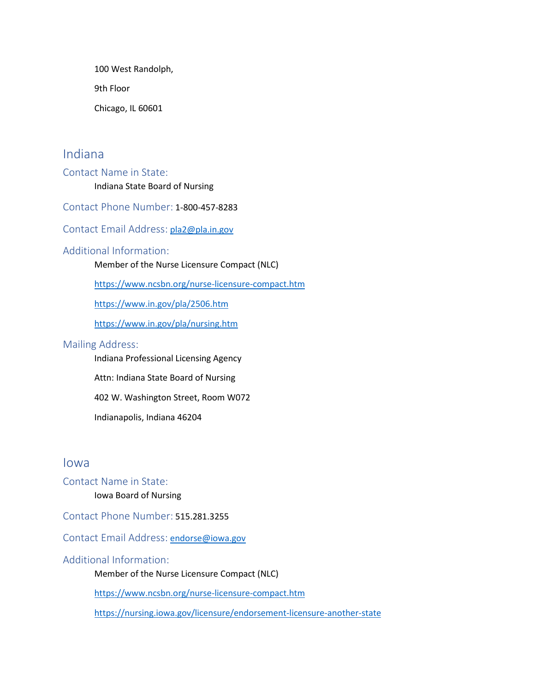100 West Randolph,

9th Floor

Chicago, IL 60601

### Indiana

Contact Name in State: Indiana State Board of Nursing

Contact Phone Number: 1-800-457-8283

Contact Email Address: [pla2@pla.in.gov](mailto:nboard@wv.gov)

#### Additional Information:

Member of the Nurse Licensure Compact (NLC)

[https://www.ncsbn.org/nurse-licensure-compact.htm](https://www.rn.ca.gov/applicants/lic-end.shtml)

[https://www.in.gov/pla/2506.htm](https://www.ncsbn.org/nurse-licensure-compact.htm)

[https://www.in.gov/pla/nursing.htm](https://dpr.delaware.gov/boards/nursing/reciprocity/)

#### Mailing Address:

Indiana Professional Licensing Agency

Attn: Indiana State Board of Nursing

402 W. Washington Street, Room W072

Indianapolis, Indiana 46204

#### Iowa

- Contact Name in State:
	- Iowa Board of Nursing

Contact Phone Number: 515.281.3255

Contact Email Address: [endorse@iowa.gov](https://eservices.nysed.gov/professions/contact-us/)

#### Additional Information:

Member of the Nurse Licensure Compact (NLC)

<https://www.ncsbn.org/nurse-licensure-compact.htm>

<https://nursing.iowa.gov/licensure/endorsement-licensure-another-state>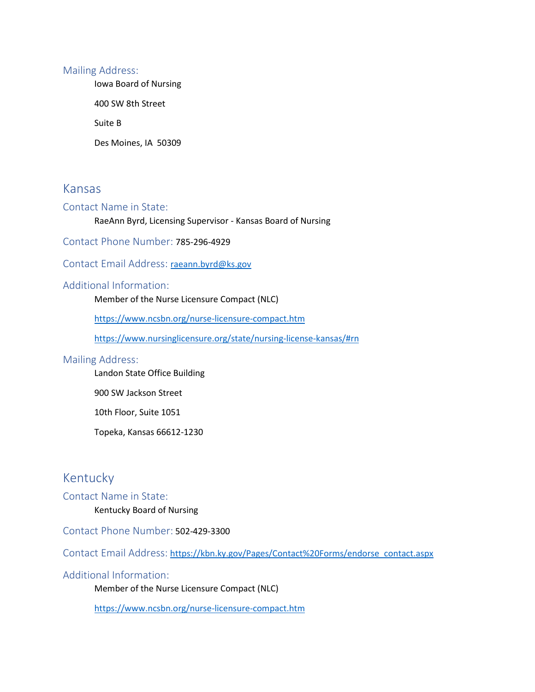Iowa Board of Nursing

400 SW 8th Street

Suite B

Des Moines, IA 50309

### Kansas

#### Contact Name in State:

#### RaeAnn Byrd, Licensing Supervisor - Kansas Board of Nursing

Contact Phone Number: 785-296-4929

#### ContactEmail Address: [raeann.byrd@ks.gov](https://www.ncsbn.org/nurse-licensure-compact.htm)

#### Additional Information:

Member of the Nurse Licensure Compact (NLC)

<https://www.ncsbn.org/nurse-licensure-compact.htm>

[https://www.nursinglicensure.org/state/nursing-license-kansas/#rn](https://www.doh.wa.gov/LicensesPermitsandCertificates/NursingCommission/NurseLicensing/ApplyforaLicense#rn)

#### Mailing Address:

Landon State Office Building

900 SW Jackson Street

10th Floor, Suite 1051

Topeka, Kansas 66612-1230

### Kentucky

Contact Name in State: Kentucky Board of Nursing

Contact Phone Number: 502-429-3300

Contact Email Address: [https://kbn.ky.gov/Pages/Contact%20Forms/endorse\\_contact.aspx](https://kbn.ky.gov/Pages/Contact%20Forms/endorse_contact.aspx)

Additional Information:

Member of the Nurse Licensure Compact (NLC)

[https://www.ncsbn.org/nurse-licensure-compact.htm](https://www.bon.texas.gov/licensure_endorsement.asp)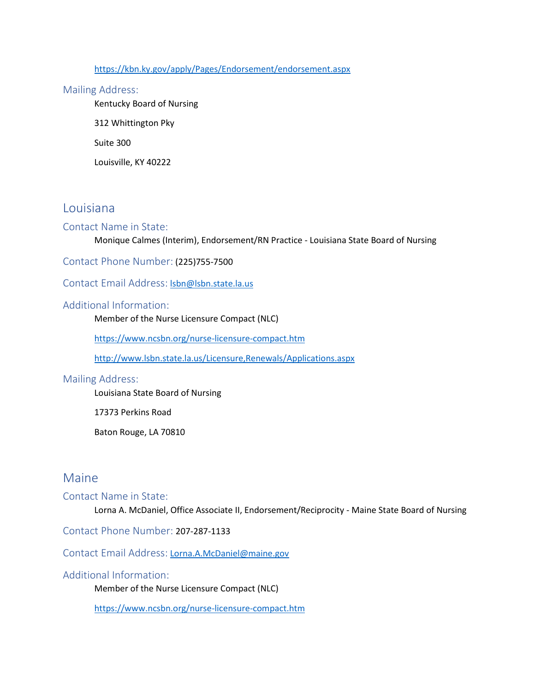<https://kbn.ky.gov/apply/Pages/Endorsement/endorsement.aspx>

#### Mailing Address:

Kentucky Board of Nursing

312 Whittington Pky

Suite 300

Louisville, KY 40222

### Louisiana

#### Contact Name in State:

Monique Calmes (Interim), Endorsement/RN Practice - Louisiana State Board of Nursing

Contact Phone Number: (225)755-7500

Contact Email Address: **Isbn@Isbn.state.la.us** 

#### Additional Information:

Member of the Nurse Licensure Compact (NLC)

<https://www.ncsbn.org/nurse-licensure-compact.htm>

[http://www.lsbn.state.la.us/Licensure,Renewals/Applications.aspx](https://nursing.ohio.gov/licensing-certification-ce/rn-aprn-lpn/)

#### Mailing Address:

Louisiana State Board of Nursing

17373 Perkins Road

Baton Rouge, LA 70810

### Maine

#### Contact Name in State:

Lorna A. McDaniel, Office Associate II, Endorsement/Reciprocity - Maine State Board of Nursing

Contact Phone Number: 207-287-1133

Contact Email Address: [Lorna.A.McDaniel@maine.gov](https://health.ri.gov/licenses/)

#### Additional Information:

Member of the Nurse Licensure Compact (NLC)

[https://www.ncsbn.org/nurse-licensure-compact.htm](https://www.nursinglicensure.org/state/nursing-license-kansas/)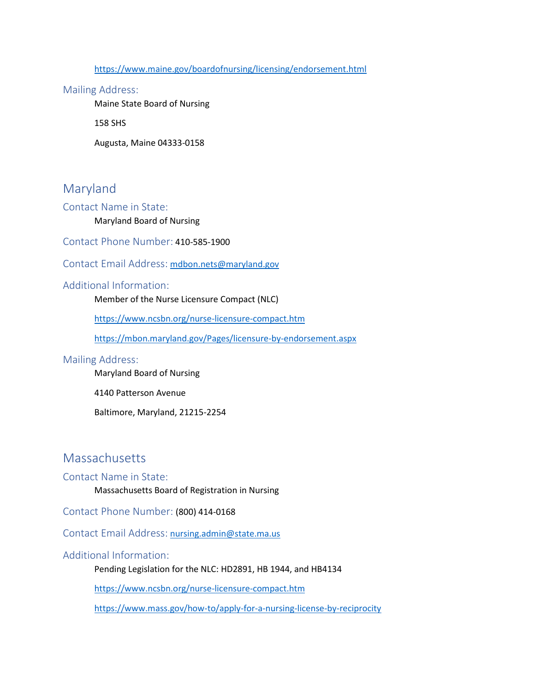[https://www.maine.gov/boardofnursing/licensing/endorsement.html](mailto:abn@abn.alabama.gov)

#### Mailing Address:

Maine State Board of Nursing

158 SHS

Augusta, Maine 04333-0158

### Maryland

Contact Name in State:

#### Maryland Board of Nursing

Contact Phone Number: 410-585-1900

Contact Email Address: [mdbon.nets@maryland.gov](mailto:DHHS.NursingOffice@nebraska.gov)

#### Additional Information:

Member of the Nurse Licensure Compact (NLC)

<https://www.ncsbn.org/nurse-licensure-compact.htm>

[https://mbon.maryland.gov/Pages/licensure-by-endorsement.aspx](https://mn.gov/boards/nursing/about-us/our-staff/)

#### Mailing Address:

Maryland Board of Nursing

4140 Patterson Avenue

Baltimore, Maryland, 21215-2254

### Massachusetts

#### Contact Name in State:

Massachusetts Board of Registration in Nursing

Contact Phone Number: (800) 414-0168

Contact Email Address: [nursing.admin@state.ma.us](https://health.ri.gov/contact/)

#### Additional Information:

Pending Legislation for the NLC: HD2891, HB 1944, and HB4134

[https://www.ncsbn.org/nurse-licensure-compact.htm](mailto:IBN-info@dopl.idaho.gov)

[https://www.mass.gov/how-to/apply-for-a-nursing-license-by-reciprocity](http://dhhs.ne.gov/licensure/Pages/Nurse-Licensing.aspx)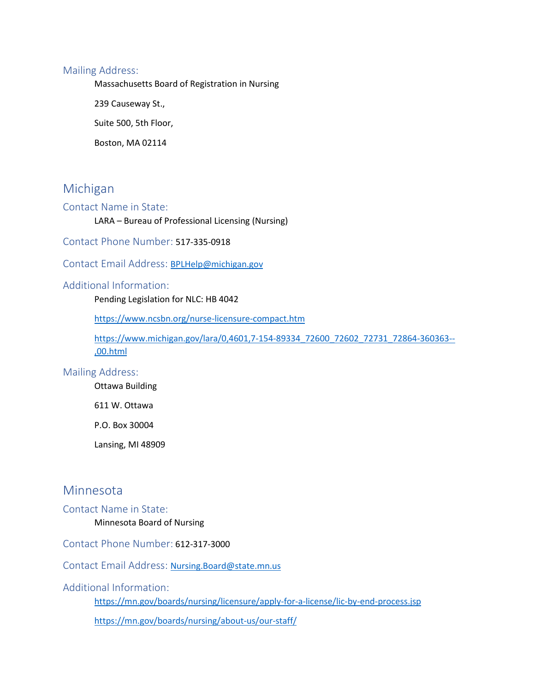Massachusetts Board of Registration in Nursing

239 Causeway St.,

Suite 500, 5th Floor,

Boston, MA 02114

### Michigan

#### Contact Name in State:

#### LARA – Bureau of Professional Licensing (Nursing)

Contact Phone Number: 517-335-0918

Contact Email Address:[BPLHelp@michigan.gov](mailto:wsbn-info-licensing@wyo.gov)

#### Additional Information:

Pending Legislation for NLC: HB 4042

<https://www.ncsbn.org/nurse-licensure-compact.htm>

[https://www.michigan.gov/lara/0,4601,7-154-89334\\_72600\\_72602\\_72731\\_72864-360363--](https://www.michigan.gov/lara/0,4601,7-154-89334_72600_72602_72731_72864-360363--,00.html) [,00.html](https://www.michigan.gov/lara/0,4601,7-154-89334_72600_72602_72731_72864-360363--,00.html)

#### Mailing Address:

Ottawa Building

611 W. Ottawa

P.O. Box 30004

Lansing, MI 48909

### Minnesota

Contact Name in State:

#### Minnesota Board of Nursing

Contact Phone Number: 612-317-3000

Contact Email Address:[Nursing.Board@state.mn.us](https://www.ncsbn.org/nurse-licensure-compact.htm)

Additional Information:

[https://mn.gov/boards/nursing/licensure/apply-for-a-license/lic-by-end-process.jsp](https://www.ncsbn.org/nurse-licensure-compact.htm)

[https://mn.gov/boards/nursing/about-us/our-staff/](mailto:board.questions@oplc.nh.gov)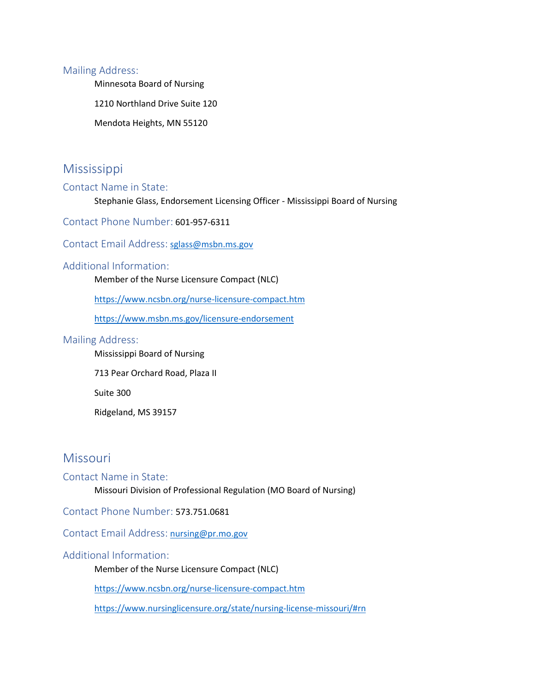Minnesota Board of Nursing

1210 Northland Drive Suite 120

Mendota Heights, MN 55120

### Mississippi

#### Contact Name in State:

Stephanie Glass, Endorsement Licensing Officer - Mississippi Board of Nursing

Contact Phone Number: 601-957-6311

Contact Email Address: [sglass@msbn.ms.gov](https://www.ncsbn.org/nurse-licensure-compact.htm)

#### Additional Information:

Member of the Nurse Licensure Compact (NLC)

[https://www.ncsbn.org/nurse-licensure-compact.htm](mailto:vuepearsonprofessionaltesting@vue.com)

<https://www.msbn.ms.gov/licensure-endorsement>

#### Mailing Address:

Mississippi Board of Nursing

713 Pear Orchard Road, Plaza II

Suite 300

Ridgeland, MS 39157

### **Missouri**

#### Contact Name in State:

Missouri Division of Professional Regulation (MO Board of Nursing)

Contact Phone Number: 573.751.0681

Contact Email Address: [nursing@pr.mo.gov](https://www.mass.gov/how-to/apply-for-a-nursing-license-by-reciprocity)

#### Additional Information:

Member of the Nurse Licensure Compact (NLC)

<https://www.ncsbn.org/nurse-licensure-compact.htm>

<https://www.nursinglicensure.org/state/nursing-license-missouri/#rn>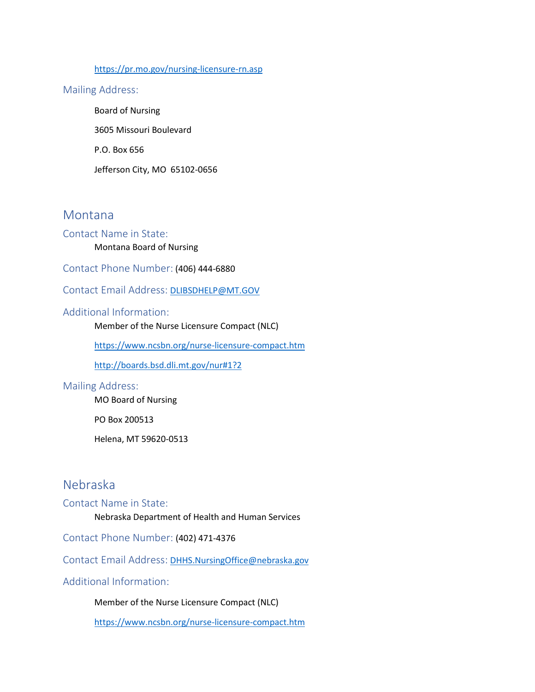#### [https://pr.mo.gov/nursing-licensure-rn.asp](mailto:ST-NURSE@pa.gov)

#### Mailing Address:

Board of Nursing 3605 Missouri Boulevard P.O. Box 656 Jefferson City, MO 65102-0656

#### Montana

#### Contact Name in State:

#### Montana Board of Nursing

Contact Phone Number: (406) 444-6880

Contact Email Address: [DLIBSDHELP@MT.GOV](http://boards.bsd.dli.mt.gov/nur)

#### Additional Information:

Member of the Nurse Licensure Compact (NLC)

[https://www.ncsbn.org/nurse-licensure-compact.htm](mailto:board@nursing.ohio.gov)

[http://boards.bsd.dli.mt.gov/nur#1?2](https://nmibon.info/resources/#1?2)

#### Mailing Address:

MO Board of Nursing

PO Box 200513

Helena, MT 59620-0513

### Nebraska

Contact Name in State:

Nebraska Department of Health and Human Services

Contact Phone Number: (402) 471-4376

Contact Email Address: [DHHS.NursingOffice@nebraska.gov](https://dpo.colorado.gov/Nursing)

Additional Information:

Member of the Nurse Licensure Compact (NLC)

[https://www.ncsbn.org/nurse-licensure-compact.htm](https://www.ncbon.com/contact-contact-information)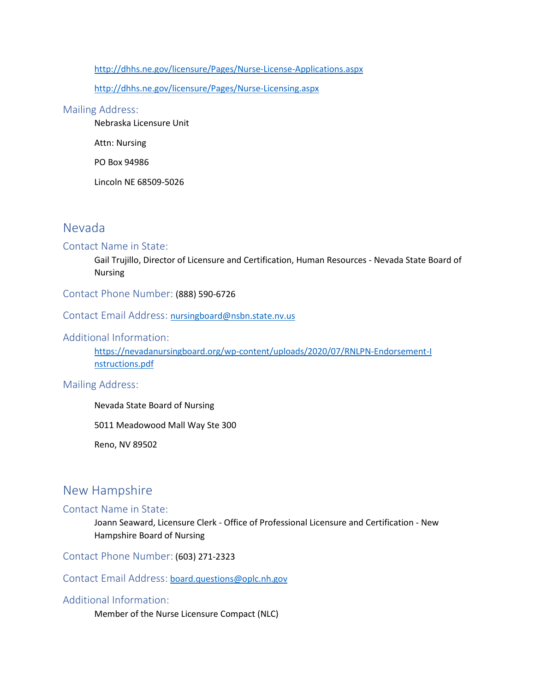[http://dhhs.ne.gov/licensure/Pages/Nurse-License-Applications.aspx](mailto:BoardMember@nursing.ok.gov)

[http://dhhs.ne.gov/licensure/Pages/Nurse-Licensing.aspx](mailto:dsps@wi.gov)

#### Mailing Address:

Nebraska Licensure Unit

Attn: Nursing

PO Box 94986

Lincoln NE 68509-5026

### Nevada

#### Contact Name in State:

Gail Trujillo, Director of Licensure and Certification, Human Resources - Nevada State Board of Nursing

Contact Phone Number: (888) 590-6726

Contact Email Address: [nursingboard@nsbn.state.nv.us](https://www.ncsbn.org/nurse-licensure-compact.htm)

#### Additional Information:

[https://nevadanursingboard.org/wp-content/uploads/2020/07/RNLPN-Endorsement-I](mailto:kzahn@ndbon.org) [n](mailto:kzahn@ndbon.org)structions.pdf

Mailing Address:

Nevada State Board of Nursing

5011 Meadowood Mall Way Ste 300

Reno, NV 89502

### New Hampshire

#### Contact Name in State:

Joann Seaward, Licensure Clerk - Office of Professional Licensure and Certification - New Hampshire Board of Nursing

Contact Phone Number: (603) 271-2323

Contact Email Address: [board.questions@oplc.nh.gov](mailto:customerservice.dpr@delaware.gov)

#### Additional Information:

Member of the Nurse Licensure Compact (NLC)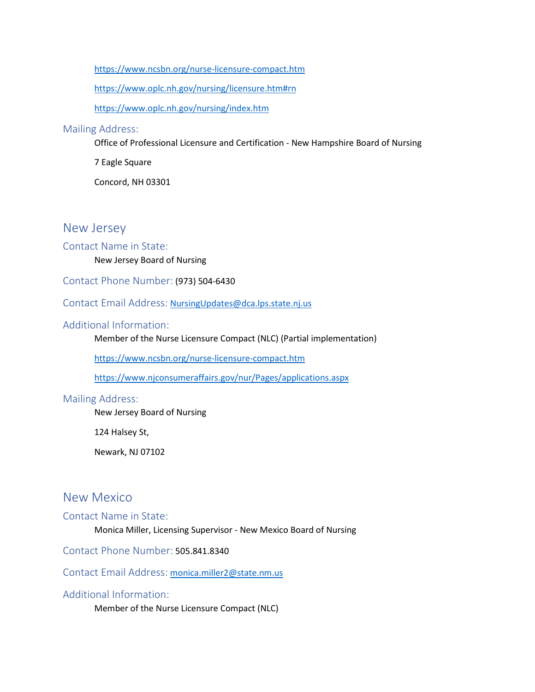[https://www.ncsbn.org/nurse-licensure-compact.htm](mailto:DOH.info@state.sd.us)

[https://www.oplc.nh.gov/nursing/licensure.htm#rn](https://www.ncsbn.org/nurse-licensure-compact.htm#rn)

[https://www.oplc.nh.gov/nursing/index.htm](mailto:mdbon.nets@maryland.gov)

#### Mailing Address:

Office of Professional Licensure and Certification - New Hampshire Board of Nursing

7 Eagle Square

Concord, NH 03301

### New Jersey

#### Contact Name in State:

New Jersey Board of Nursing

Contact Phone Number: (973) 504-6430

Contact Email Address: [NursingUpdates@dca.lps.state.nj.us](https://www.ncbon.com/licensure-listing-apply-licensure-by-endorsement)

#### Additional Information:

Member of the Nurse Licensure Compact (NLC) (Partial implementation)

[https://www.ncsbn.org/nurse-licensure-compact.htm](mailto:Nursing.Board@state.mn.us)

[https://www.njconsumeraffairs.gov/nur/Pages/applications.aspx](https://www.ndbon.org/NurseLicensure/InitialEndorse/index.asp)

#### Mailing Address:

New Jersey Board of Nursing

124 Halsey St,

Newark, NJ 07102

### New Mexico

#### Contact Name in State:

Monica Miller, Licensing Supervisor - New Mexico Board of Nursing

Contact Phone Number: 505.841.8340

Contact Email Address: [monica.miller2@state.nm.us](mailto:monica.miller2@state.nm.us)

#### Additional Information:

Member of the Nurse Licensure Compact (NLC)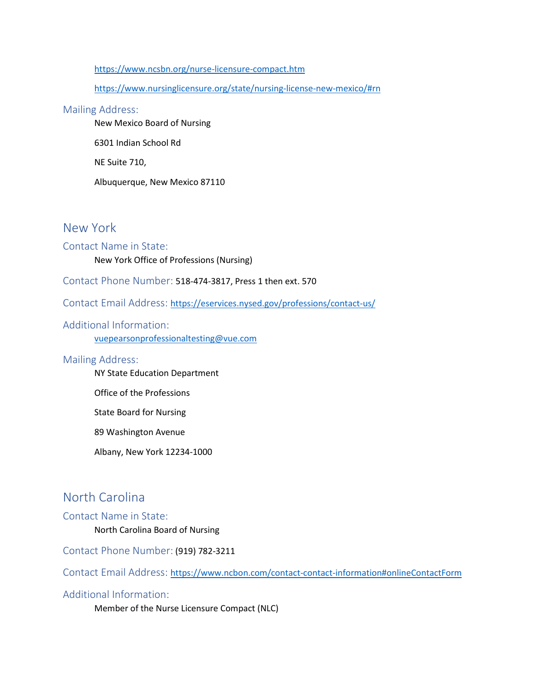#### [https://www.ncsbn.org/nurse-licensure-compact.htm](https://www.njconsumeraffairs.gov/nur/Pages/applications.aspx)

[https://www.nursinglicensure.org/state/nursing-license-new-mexico/#rn](mailto:dph.nursingteam@ct.gov#rn)

#### Mailing Address:

New Mexico Board of Nursing

6301 Indian School Rd

NE Suite 710,

Albuquerque, New Mexico 87110

### New York

#### Contact Name in State:

New York Office of Professions (Nursing)

Contact Phone Number: 518-474-3817, Press 1 then ext. 570

Contact Email Address: [https://eservices.nysed.gov/professions/contact-us/](https://www.ncsbn.org/nurse-licensure-compact.htm)

#### Additional Information:

[vuepearsonprofessionaltesting@vue.com](https://wvrnboard.wv.gov/licensing/Pages/default.aspx)

#### Mailing Address:

NY State Education Department

Office of the Professions

State Board for Nursing

89 Washington Avenue

Albany, New York 12234-1000

### North Carolina

#### Contact Name in State: North Carolina Board of Nursing

Contact Phone Number: (919) 782-3211

Contact Email Address: [https://www.ncbon.com/contact-contact-information#onlineContactForm](https://www.ncsbn.org/nurse-licensure-compact.htm#onlineContactForm)

### Additional Information:

Member of the Nurse Licensure Compact (NLC)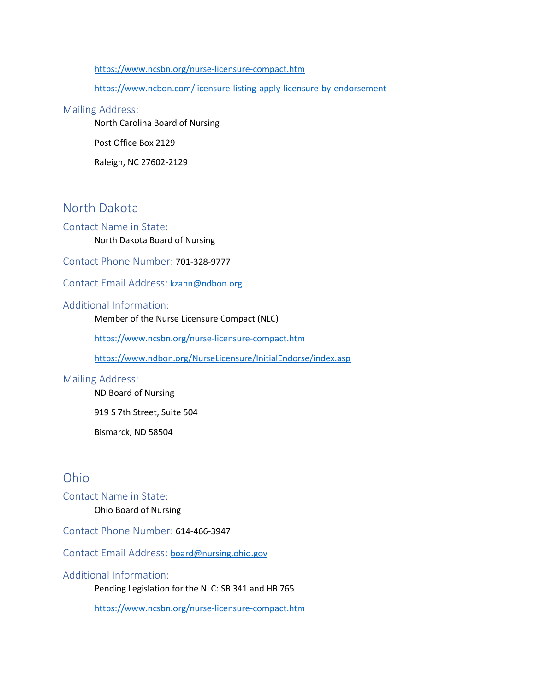[https://www.ncsbn.org/nurse-licensure-compact.htm](https://dpo.colorado.gov/Nursing/RNApplications)

[https://www.ncbon.com/licensure-listing-apply-licensure-by-endorsement](https://www.ncsbn.org/nurse-licensure-compact.htm)

#### Mailing Address:

North Carolina Board of Nursing

Post Office Box 2129

Raleigh, NC 27602-2129

### North Dakota

#### Contact Name in State:

North Dakota Board of Nursing

Contact Phone Number: 701-328-9777

#### Contact Email Address: [kzahn@ndbon.org](mailto:hsqa.csc@doh.wa.gov)

#### Additional Information:

Member of the Nurse Licensure Compact (NLC)

[https://www.ncsbn.org/nurse-licensure-compact.htm](https://www.azbn.gov/licenses-and-certifications/apply-for-a-license)

[https://www.ndbon.org/NurseLicensure/InitialEndorse/index.asp](https://www.in.gov/pla/nursing.htm)

#### Mailing Address:

ND Board of Nursing

919 S 7th Street, Suite 504

Bismarck, ND 58504

### Ohio

Contact Name in State: Ohio Board of Nursing

Contact Phone Number: 614-466-3947

Contact Email Address:[board@nursing.ohio.gov](https://www.ncsbn.org/nurse-licensure-compact.htm)

#### Additional Information:

Pending Legislation for the NLC: SB 341 and HB 765

[https://www.ncsbn.org/nurse-licensure-compact.htm](https://www.healthy.arkansas.gov/programs-services/topics/arsbn-licensing)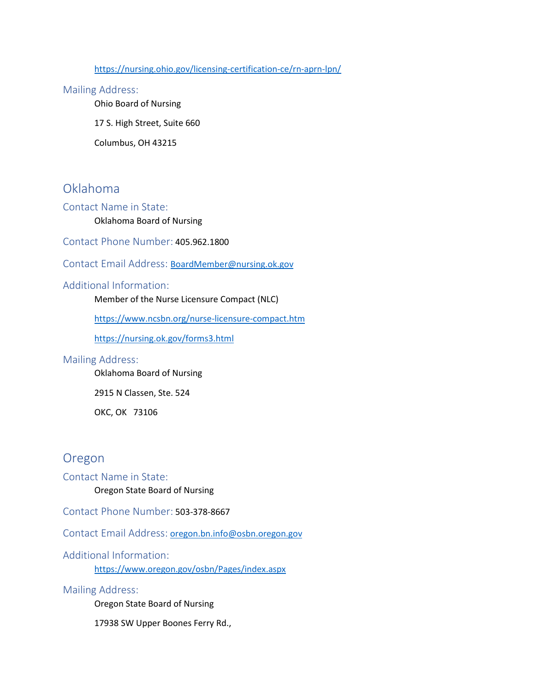[https://nursing.ohio.gov/licensing-certification-ce/rn-aprn-lpn/](mailto:nursing@pr.mo.gov)

#### Mailing Address:

Ohio Board of Nursing

17 S. High Street, Suite 660

Columbus, OH 43215

### Oklahoma

Contact Name in State:

#### Oklahoma Board of Nursing

Contact Phone Number: 405.962.1800

Contact Email Address:[BoardMember@nursing.ok.gov](https://dsps.wi.gov/Pages/Professions/RN/Default.aspx)

#### Additional Information:

Member of the Nurse Licensure Compact (NLC)

[https://www.ncsbn.org/nurse-licensure-compact.htm](https://sos.vermont.gov/nursing/statutes-rules-resources/nursing-faqs/)

[https://nursing.ok.gov/forms3.html](https://www.tn.gov/health/health-program-areas/health-professional-boards/nursing-board/nursing-board/applications.html)

#### Mailing Address:

Oklahoma Board of Nursing

2915 N Classen, Ste. 524

OKC, OK 73106

### Oregon

Contact Name in State: Oregon State Board of Nursing

Contact Phone Number: 503-378-8667

Contact Email Address: [oregon.bn.info@osbn.oregon.gov](mailto:oregon.bn.info@osbn.oregon.gov)

Additional Information: [https://www.oregon.gov/osbn/Pages/index.aspx](https://www.in.gov/pla/2506.htm)

Mailing Address:

Oregon State Board of Nursing

17938 SW Upper Boones Ferry Rd.,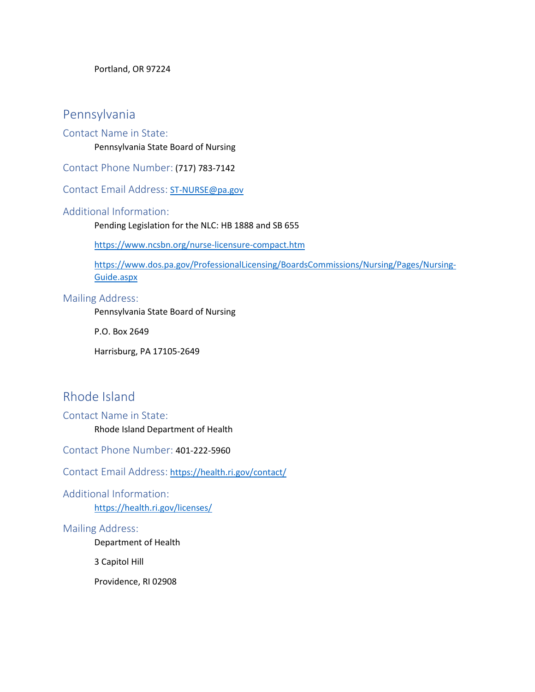Portland, OR 97224

### Pennsylvania

#### Contact Name in State:

Pennsylvania State Board of Nursing

Contact Phone Number: (717) 783-7142

Contact Email Address: [ST-NURSE@pa.gov](mailto:BPLHelp@michigan.gov)

#### Additional Information:

Pending Legislation for the NLC: HB 1888 and SB 655

[https://www.ncsbn.org/nurse-licensure-compact.htm](http://www.lsbn.state.la.us/Licensure,Renewals/Applications.aspx)

[https://www.dos.pa.gov/ProfessionalLicensing/BoardsCommissions/Nursing/Pages/Nursing-](mailto:doh@dc.gov)[Guide.aspx](mailto:doh@dc.gov)

#### Mailing Address:

Pennsylvania State Board of Nursing

P.O. Box 2649

Harrisburg, PA 17105-2649

### Rhode Island

Contact Name in State: Rhode Island Department of Health

Contact Phone Number: 401-222-5960

Contact Email Address: [https://health.ri.gov/contact/](mailto:DLIBSDHELP@MT.GOV)

Additional Information: [https://health.ri.gov/licenses/](https://www.oplc.nh.gov/nursing/index.htm)

#### Mailing Address:

Department of Health

3 Capitol Hill

Providence, RI 02908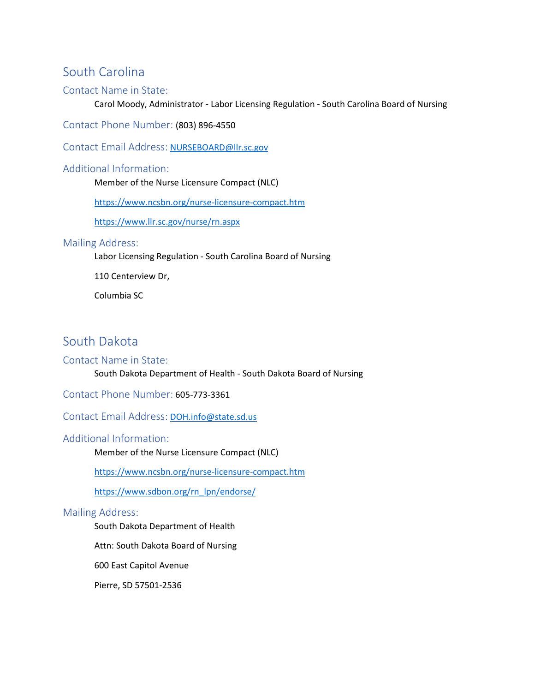### South Carolina

#### Contact Name in State:

Carol Moody, Administrator - Labor Licensing Regulation - South Carolina Board of Nursing

Contact Phone Number: (803) 896-4550

Contact Email Address: [NURSEBOARD@llr.sc.gov](mailto:NURSEBOARD@llr.sc.gov)

#### Additional Information:

Member of the Nurse Licensure Compact (NLC)

[https://www.ncsbn.org/nurse-licensure-compact.htm](http://dhhs.ne.gov/licensure/Pages/Nurse-License-Applications.aspx)

<https://www.llr.sc.gov/nurse/rn.aspx>

#### Mailing Address:

Labor Licensing Regulation - South Carolina Board of Nursing

110 Centerview Dr,

Columbia SC

### South Dakota

#### Contact Name in State:

South Dakota Department of Health - South Dakota Board of Nursing

Contact Phone Number: 605-773-3361

Contact Email Address: [DOH.info@state.sd.us](mailto:NursingUpdates@dca.lps.state.nj.us)

#### Additional Information:

Member of the Nurse Licensure Compact (NLC)

[https://www.ncsbn.org/nurse-licensure-compact.htm](https://www.sdbon.org/rn_lpn/endorse/)

[https://www.sdbon.org/rn\\_lpn/endorse/](http://cca.hawaii.gov/pvl/boards/nursing/)

#### Mailing Address:

South Dakota Department of Health

Attn: South Dakota Board of Nursing

600 East Capitol Avenue

Pierre, SD 57501-2536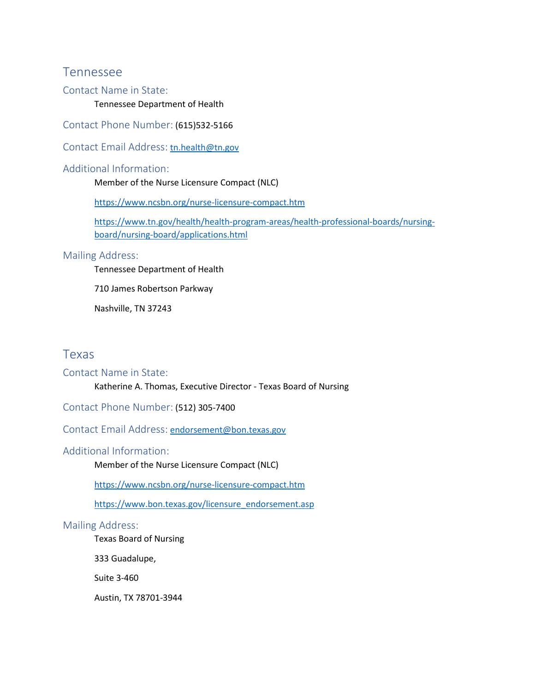### Tennessee

#### Contact Name in State:

Tennessee Department of Health

Contact Phone Number: (615)532-5166

Contact Email Address: [tn.health@tn.gov](mailto:endorsement@bon.texas.gov)

#### Additional Information:

Member of the Nurse Licensure Compact (NLC)

[https://www.ncsbn.org/nurse-licensure-compact.htm](mailto:ASBN.info@Arkansas.gov)

[https://www.tn.gov/health/health-program-areas/health-professional-boards/nursing](https://www.ncsbn.org/nurse-licensure-compact.htm)[board/nursing-board/applications.html](https://www.ncsbn.org/nurse-licensure-compact.htm)

#### Mailing Address:

Tennessee Department of Health

710 James Robertson Parkway

Nashville, TN 37243

### Texas

#### Contact Name in State:

Katherine A. Thomas, Executive Director - Texas Board of Nursing

Contact Phone Number: (512) 305-7400

Contact Email Address: [endorsement@bon.texas.gov](https://nursing.ok.gov/forms3.html)

#### Additional Information:

Member of the Nurse Licensure Compact (NLC)

<https://www.ncsbn.org/nurse-licensure-compact.htm>

[https://www.bon.texas.gov/licensure\\_endorsement.asp](https://portal.ct.gov/DPH/Public-Health-Hearing-Office/Board-of-Examiners-for-Nursing/Board-)

#### Mailing Address:

Texas Board of Nursing

333 Guadalupe,

Suite 3-460

Austin, TX 78701-3944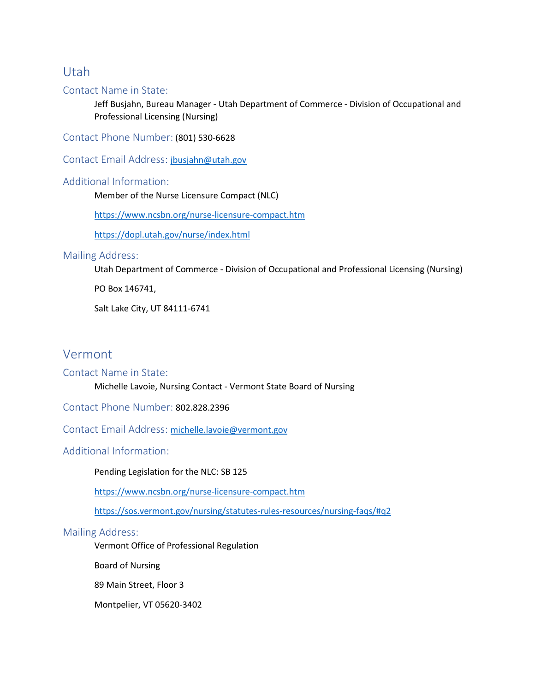### Utah

#### Contact Name in State:

Jeff Busjahn, Bureau Manager - Utah Department of Commerce - Division of Occupational and Professional Licensing (Nursing)

Contact Phone Number: (801) 530-6628

Contact Email Address:[jbusjahn@utah.gov](http://dphss.guam.gov/wp-content/uploads/2019/08/GBNE-Application-Updated-2019.pdf)

#### Additional Information:

Member of the Nurse Licensure Compact (NLC)

[https://www.ncsbn.org/nurse-licensure-compact.htm](mailto:license@alaska.gov)

[https://dopl.utah.gov/nurse/index.html](https://www.ncsbn.org/nurse-licensure-compact.htm)

#### Mailing Address:

Utah Department of Commerce - Division of Occupational and Professional Licensing (Nursing)

PO Box 146741,

Salt Lake City, UT 84111-6741

### Vermont

#### Contact Name in State:

Michelle Lavoie, Nursing Contact - Vermont State Board of Nursing

Contact Phone Number: 802.828.2396

Contact Email Address:[michelle.lavoie@vermont.gov](https://www.nursinglicensure.org/state/nursing-license-new-mexico/)

#### Additional Information:

Pending Legislation for the NLC: SB 125

[https://www.ncsbn.org/nurse-licensure-compact.htm](mailto:MQAOnlineService@flhealth.gov)

[https://sos.vermont.gov/nursing/statutes-rules-resources/nursing-faqs/#q2](mailto:Lorna.A.McDaniel@maine.gov#q2)

#### Mailing Address:

Vermont Office of Professional Regulation

Board of Nursing

89 Main Street, Floor 3

Montpelier, VT 05620-3402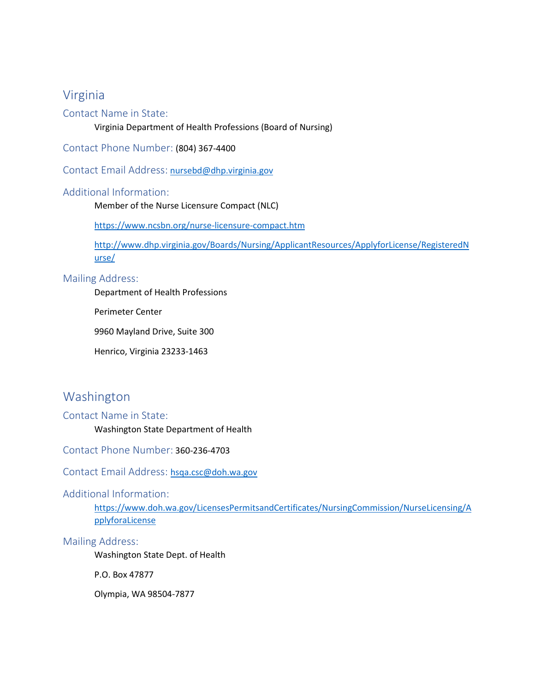### Virginia

#### Contact Name in State:

Virginia Department of Health Professions (Board of Nursing)

Contact Phone Number: (804) 367-4400

Contact Email Address: [nursebd@dhp.virginia.gov](https://www.ncsbn.org/nurse-licensure-compact.htm)

#### Additional Information:

Member of the Nurse Licensure Compact (NLC)

<https://www.ncsbn.org/nurse-licensure-compact.htm>

[http://www.dhp.virginia.gov/Boards/Nursing/ApplicantResources/ApplyforLicense/RegisteredN](mailto:jbusjahn@utah.gov) [urse/](mailto:jbusjahn@utah.gov)

#### Mailing Address:

Department of Health Professions

Perimeter Center

9960 Mayland Drive, Suite 300

Henrico, Virginia 23233-1463

### Washington

#### Contact Name in State:

Washington State Department of Health

Contact Phone Number: 360-236-4703

#### Contact Email Address:[hsqa.csc@doh.wa.gov](https://pr.mo.gov/nursing-licensure-rn.asp)

#### Additional Information:

[https://www.doh.wa.gov/LicensesPermitsandCertificates/NursingCommission/NurseLicensing/A](mailto:nursing.admin@state.ma.us) [pplyforaLicense](mailto:nursing.admin@state.ma.us)

#### Mailing Address:

Washington State Dept. of Health

P.O. Box 47877

Olympia, WA 98504-7877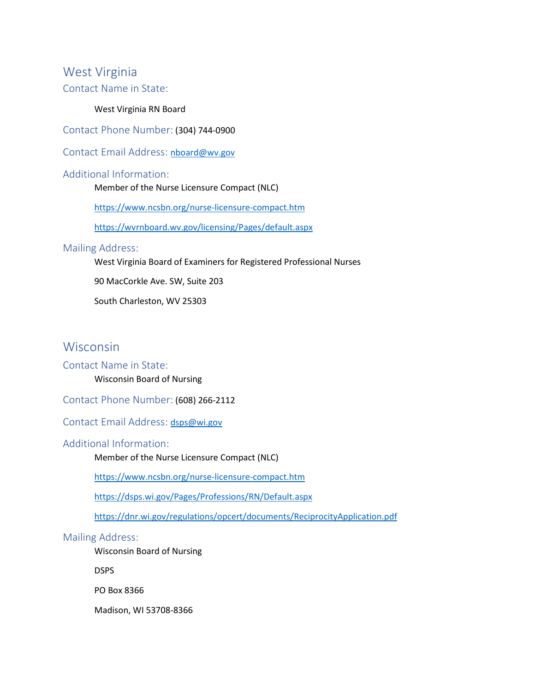### West Virginia

Contact Name in State:

#### West Virginia RN Board

Contact Phone Number: (304) 744-0900

ContactEmail Address: [nboard@wv.gov](https://www.commerce.alaska.gov/web/cbpl/ProfessionalLicensing/BoardofNursing.aspx)

#### Additional Information:

Member of the Nurse Licensure Compact (NLC)

<https://www.ncsbn.org/nurse-licensure-compact.htm>

[https://wvrnboard.wv.gov/licensing/Pages/default.aspx](mailto:dora_nursingboard@state.co.us)

#### Mailing Address:

West Virginia Board of Examiners for Registered Professional Nurses

90 MacCorkle Ave. SW, Suite 203

South Charleston, WV 25303

### Wisconsin

#### Contact Name in State:

Wisconsin Board of Nursing

Contact Phone Number: (608) 266-2112

ContactEmail Address: [dsps@wi.gov](https://www.abn.alabama.gov/nursing-programs/)

#### Additional Information:

Member of the Nurse Licensure Compact (NLC)

<https://www.ncsbn.org/nurse-licensure-compact.htm>

[https://dsps.wi.gov/Pages/Professions/RN/Default.aspx](mailto:contact@nmibon.info)

<https://dnr.wi.gov/regulations/opcert/documents/ReciprocityApplication.pdf>

#### Mailing Address:

Wisconsin Board of Nursing

DSPS

PO Box 8366

Madison, WI 53708-8366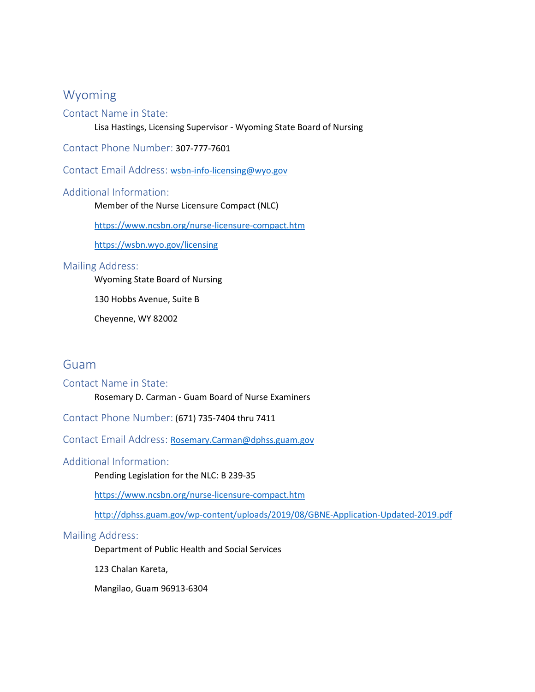### Wyoming

#### Contact Name in State:

Lisa Hastings, Licensing Supervisor - Wyoming State Board of Nursing

Contact Phone Number: 307-777-7601

Contact Email Address: [wsbn-info-licensing@wyo.gov](mailto:nursingboard@nsbn.state.nv.us)

#### Additional Information:

Member of the Nurse Licensure Compact (NLC)

<https://www.ncsbn.org/nurse-licensure-compact.htm>

<https://wsbn.wyo.gov/licensing>

#### Mailing Address:

Wyoming State Board of Nursing

130 Hobbs Avenue, Suite B

Cheyenne, WY 82002

### Guam

#### Contact Name in State:

Rosemary D. Carman - Guam Board of Nurse Examiners

Contact Phone Number: (671) 735-7404 thru 7411

Contact Email Address:[Rosemary.Carman@dphss.guam.gov](mailto:Rosemary.Carman@dphss.guam.gov)

#### Additional Information:

Pending Legislation for the NLC: B 239-35

<https://www.ncsbn.org/nurse-licensure-compact.htm>

[http://dphss.guam.gov/wp-content/uploads/2019/08/GBNE-Application-Updated-2019.pdf](https://mbon.maryland.gov/Pages/licensure-by-endorsement.aspx)

#### Mailing Address:

Department of Public Health and Social Services

123 Chalan Kareta,

Mangilao, Guam 96913-6304